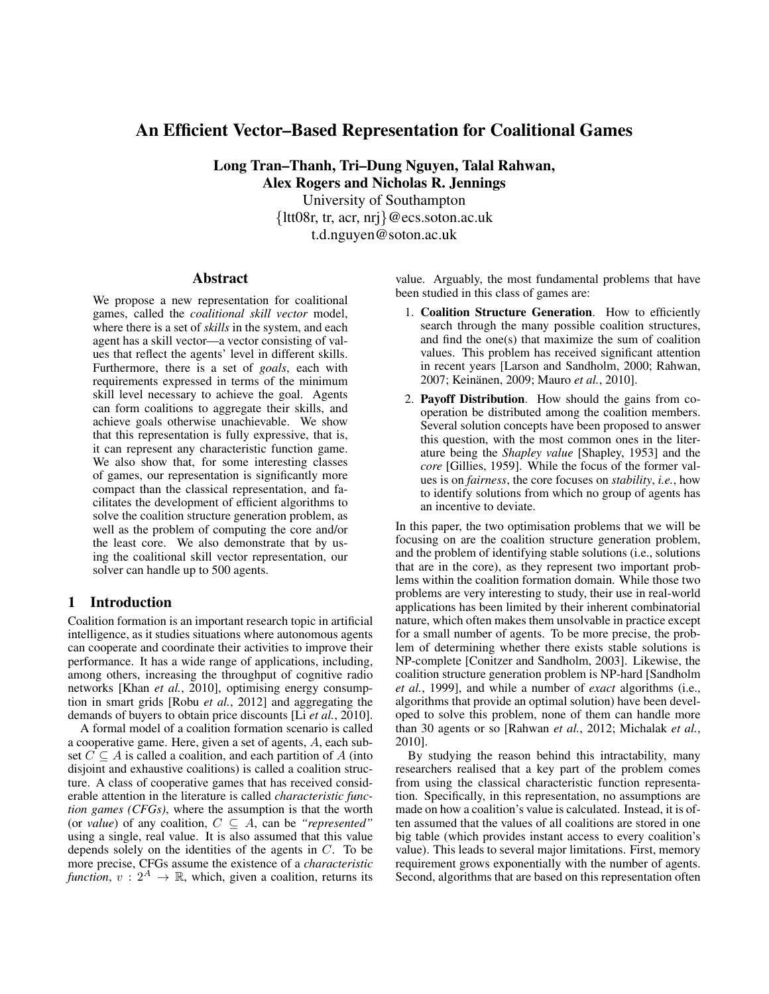# An Efficient Vector–Based Representation for Coalitional Games

Long Tran–Thanh, Tri–Dung Nguyen, Talal Rahwan, Alex Rogers and Nicholas R. Jennings

University of Southampton {ltt08r, tr, acr, nrj}@ecs.soton.ac.uk t.d.nguyen@soton.ac.uk

### Abstract

We propose a new representation for coalitional games, called the *coalitional skill vector* model, where there is a set of *skills* in the system, and each agent has a skill vector—a vector consisting of values that reflect the agents' level in different skills. Furthermore, there is a set of *goals*, each with requirements expressed in terms of the minimum skill level necessary to achieve the goal. Agents can form coalitions to aggregate their skills, and achieve goals otherwise unachievable. We show that this representation is fully expressive, that is, it can represent any characteristic function game. We also show that, for some interesting classes of games, our representation is significantly more compact than the classical representation, and facilitates the development of efficient algorithms to solve the coalition structure generation problem, as well as the problem of computing the core and/or the least core. We also demonstrate that by using the coalitional skill vector representation, our solver can handle up to 500 agents.

### 1 Introduction

Coalition formation is an important research topic in artificial intelligence, as it studies situations where autonomous agents can cooperate and coordinate their activities to improve their performance. It has a wide range of applications, including, among others, increasing the throughput of cognitive radio networks [Khan *et al.*, 2010], optimising energy consumption in smart grids [Robu *et al.*, 2012] and aggregating the demands of buyers to obtain price discounts [Li *et al.*, 2010].

A formal model of a coalition formation scenario is called a cooperative game. Here, given a set of agents, A, each subset  $C \subseteq A$  is called a coalition, and each partition of A (into disjoint and exhaustive coalitions) is called a coalition structure. A class of cooperative games that has received considerable attention in the literature is called *characteristic function games (CFGs)*, where the assumption is that the worth (or *value*) of any coalition,  $C \subseteq A$ , can be "represented" using a single, real value. It is also assumed that this value depends solely on the identities of the agents in C. To be more precise, CFGs assume the existence of a *characteristic function*,  $v: 2^A \rightarrow \mathbb{R}$ , which, given a coalition, returns its value. Arguably, the most fundamental problems that have been studied in this class of games are:

- 1. Coalition Structure Generation. How to efficiently search through the many possible coalition structures, and find the one(s) that maximize the sum of coalition values. This problem has received significant attention in recent years [Larson and Sandholm, 2000; Rahwan, 2007; Keinänen, 2009; Mauro et al., 2010].
- 2. Payoff Distribution. How should the gains from cooperation be distributed among the coalition members. Several solution concepts have been proposed to answer this question, with the most common ones in the literature being the *Shapley value* [Shapley, 1953] and the *core* [Gillies, 1959]. While the focus of the former values is on *fairness*, the core focuses on *stability*, *i.e.*, how to identify solutions from which no group of agents has an incentive to deviate.

In this paper, the two optimisation problems that we will be focusing on are the coalition structure generation problem, and the problem of identifying stable solutions (i.e., solutions that are in the core), as they represent two important problems within the coalition formation domain. While those two problems are very interesting to study, their use in real-world applications has been limited by their inherent combinatorial nature, which often makes them unsolvable in practice except for a small number of agents. To be more precise, the problem of determining whether there exists stable solutions is NP-complete [Conitzer and Sandholm, 2003]. Likewise, the coalition structure generation problem is NP-hard [Sandholm *et al.*, 1999], and while a number of *exact* algorithms (i.e., algorithms that provide an optimal solution) have been developed to solve this problem, none of them can handle more than 30 agents or so [Rahwan *et al.*, 2012; Michalak *et al.*, 2010].

By studying the reason behind this intractability, many researchers realised that a key part of the problem comes from using the classical characteristic function representation. Specifically, in this representation, no assumptions are made on how a coalition's value is calculated. Instead, it is often assumed that the values of all coalitions are stored in one big table (which provides instant access to every coalition's value). This leads to several major limitations. First, memory requirement grows exponentially with the number of agents. Second, algorithms that are based on this representation often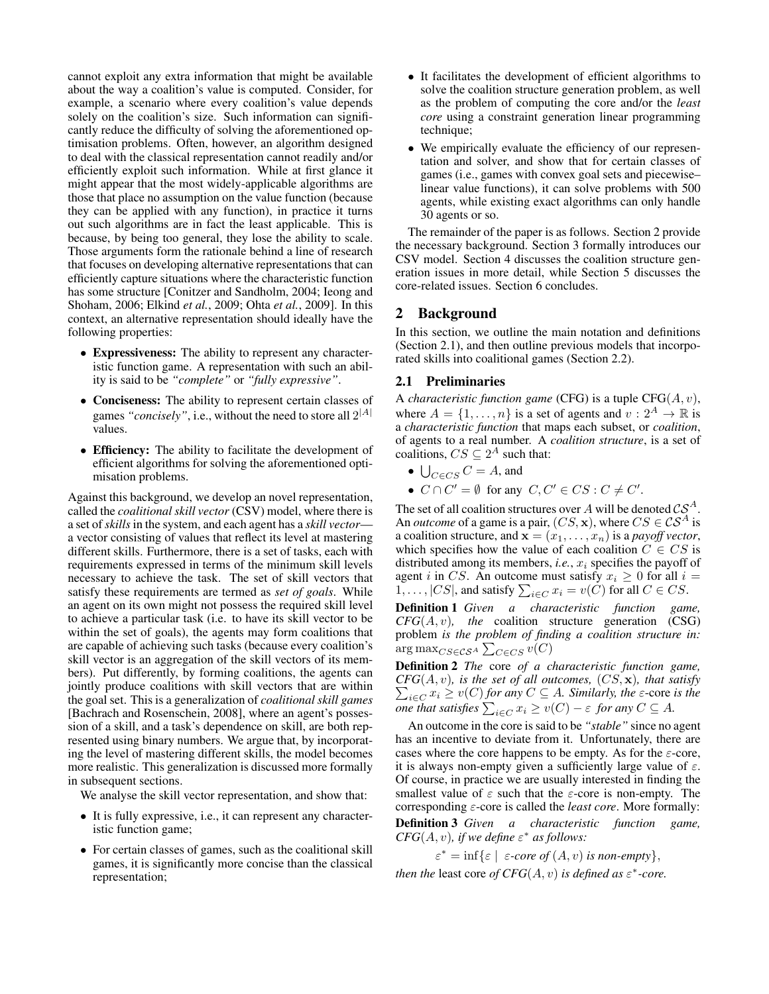cannot exploit any extra information that might be available about the way a coalition's value is computed. Consider, for example, a scenario where every coalition's value depends solely on the coalition's size. Such information can significantly reduce the difficulty of solving the aforementioned optimisation problems. Often, however, an algorithm designed to deal with the classical representation cannot readily and/or efficiently exploit such information. While at first glance it might appear that the most widely-applicable algorithms are those that place no assumption on the value function (because they can be applied with any function), in practice it turns out such algorithms are in fact the least applicable. This is because, by being too general, they lose the ability to scale. Those arguments form the rationale behind a line of research that focuses on developing alternative representations that can efficiently capture situations where the characteristic function has some structure [Conitzer and Sandholm, 2004; Ieong and Shoham, 2006; Elkind *et al.*, 2009; Ohta *et al.*, 2009]. In this context, an alternative representation should ideally have the following properties:

- Expressiveness: The ability to represent any characteristic function game. A representation with such an ability is said to be *"complete"* or *"fully expressive"*.
- Conciseness: The ability to represent certain classes of games "*concisely*", i.e., without the need to store all  $2^{|A|}$ values.
- Efficiency: The ability to facilitate the development of efficient algorithms for solving the aforementioned optimisation problems.

Against this background, we develop an novel representation, called the *coalitional skill vector* (CSV) model, where there is a set of*skills*in the system, and each agent has a *skill vector* a vector consisting of values that reflect its level at mastering different skills. Furthermore, there is a set of tasks, each with requirements expressed in terms of the minimum skill levels necessary to achieve the task. The set of skill vectors that satisfy these requirements are termed as *set of goals*. While an agent on its own might not possess the required skill level to achieve a particular task (i.e. to have its skill vector to be within the set of goals), the agents may form coalitions that are capable of achieving such tasks (because every coalition's skill vector is an aggregation of the skill vectors of its members). Put differently, by forming coalitions, the agents can jointly produce coalitions with skill vectors that are within the goal set. This is a generalization of *coalitional skill games* [Bachrach and Rosenschein, 2008], where an agent's possession of a skill, and a task's dependence on skill, are both represented using binary numbers. We argue that, by incorporating the level of mastering different skills, the model becomes more realistic. This generalization is discussed more formally in subsequent sections.

We analyse the skill vector representation, and show that:

- It is fully expressive, i.e., it can represent any characteristic function game;
- For certain classes of games, such as the coalitional skill games, it is significantly more concise than the classical representation;
- It facilitates the development of efficient algorithms to solve the coalition structure generation problem, as well as the problem of computing the core and/or the *least core* using a constraint generation linear programming technique;
- We empirically evaluate the efficiency of our representation and solver, and show that for certain classes of games (i.e., games with convex goal sets and piecewise– linear value functions), it can solve problems with 500 agents, while existing exact algorithms can only handle 30 agents or so.

The remainder of the paper is as follows. Section 2 provide the necessary background. Section 3 formally introduces our CSV model. Section 4 discusses the coalition structure generation issues in more detail, while Section 5 discusses the core-related issues. Section 6 concludes.

## 2 Background

In this section, we outline the main notation and definitions (Section 2.1), and then outline previous models that incorporated skills into coalitional games (Section 2.2).

### 2.1 Preliminaries

A *characteristic function game* (CFG) is a tuple  $CFG(A, v)$ , where  $A = \{1, \ldots, n\}$  is a set of agents and  $v : 2^A \to \mathbb{R}$  is a *characteristic function* that maps each subset, or *coalition*, of agents to a real number. A *coalition structure*, is a set of coalitions,  $CS \subseteq 2^A$  such that:

- $\bigcup_{C \in CS} C = A$ , and
- $C \cap C' = \emptyset$  for any  $C, C' \in CS : C \neq C'$ .

The set of all coalition structures over A will be denoted  $\mathcal{CS}^A$ . An *outcome* of a game is a pair,  $(CS, \mathbf{x})$ , where  $CS \in \mathcal{CS}^A$  is a coalition structure, and  $\mathbf{x} = (x_1, \dots, x_n)$  is a *payoff vector*, which specifies how the value of each coalition  $C \in CS$  is distributed among its members, *i.e.*,  $x_i$  specifies the payoff of agent *i* in CS. An outcome must satisfy  $x_i \geq 0$  for all  $i =$  $1, \ldots, |CS|$ , and satisfy  $\sum_{i \in C} x_i = v(C)$  for all  $C \in CS$ .

Definition 1 *Given a characteristic function game,*  $CFG(A, v)$ *, the* coalition structure generation (CSG) problem *is the problem of finding a coalition structure in:*  $\arg\max_{CS\in\mathcal{CS}^A}\sum_{C\in CS}v(C)$ 

Definition 2 *The* core *of a characteristic function game,*  $\sum_{i \in C} x_i \ge v(C)$  *for any*  $C \subseteq A$ *. Similarly, the*  $\varepsilon$ -core *is the*  $CFG(A, v)$ *, is the set of all outcomes,*  $(CS, x)$ *, that satisfy one that satisfies*  $\sum_{i \in C} x_i \ge v(C) - \varepsilon$  *for any*  $C \subseteq A$ *.* 

An outcome in the core is said to be *"stable"* since no agent has an incentive to deviate from it. Unfortunately, there are cases where the core happens to be empty. As for the  $\varepsilon$ -core, it is always non-empty given a sufficiently large value of  $\varepsilon$ . Of course, in practice we are usually interested in finding the smallest value of  $\varepsilon$  such that the  $\varepsilon$ -core is non-empty. The corresponding ε-core is called the *least core*. More formally:

Definition 3 *Given a characteristic function game, CFG* $(A, v)$ *, if we define*  $\varepsilon^*$  *as follows:* 

 $\varepsilon^* = \inf \{ \varepsilon \mid \varepsilon\text{-core of } (A, v) \text{ is non-empty} \},$ 

*then the least core of*  $CFG(A, v)$  *is defined as*  $\varepsilon^*$ -core.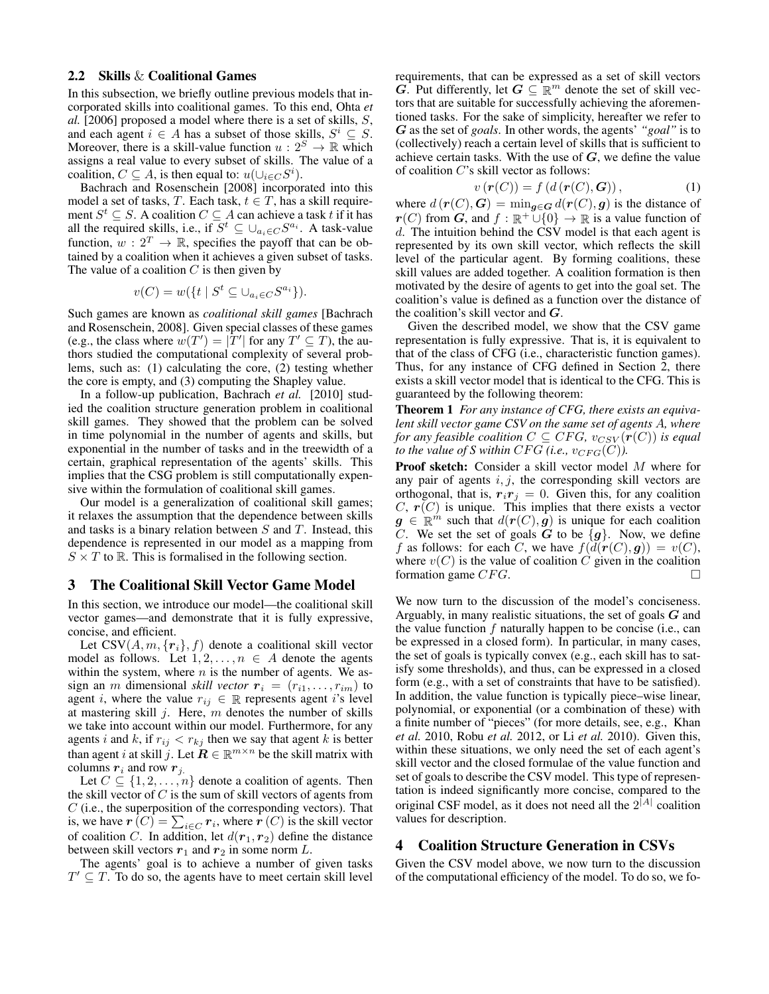#### 2.2 Skills & Coalitional Games

In this subsection, we briefly outline previous models that incorporated skills into coalitional games. To this end, Ohta *et al.* [2006] proposed a model where there is a set of skills, S, and each agent  $i \in A$  has a subset of those skills,  $S^i \subseteq S$ . Moreover, there is a skill-value function  $u: 2^S \to \mathbb{R}$  which assigns a real value to every subset of skills. The value of a coalition,  $C \subseteq A$ , is then equal to:  $u(\cup_{i \in C} S^i)$ .

Bachrach and Rosenschein [2008] incorporated into this model a set of tasks, T. Each task,  $t \in T$ , has a skill requirement  $S^t \subseteq S$ . A coalition  $C \subseteq A$  can achieve a task t if it has all the required skills, i.e., if  $S^t \subseteq \bigcup_{a_i \in C} S^{a_i}$ . A task-value function,  $w: 2^T \to \mathbb{R}$ , specifies the payoff that can be obtained by a coalition when it achieves a given subset of tasks. The value of a coalition  $C$  is then given by

$$
v(C) = w({t | St \subseteq \cup_{a_i \in C} S^{a_i}}).
$$

Such games are known as *coalitional skill games* [Bachrach and Rosenschein, 2008]. Given special classes of these games (e.g., the class where  $w(T') = |\tilde{T}'|$  for any  $T' \subseteq T$ ), the authors studied the computational complexity of several problems, such as: (1) calculating the core, (2) testing whether the core is empty, and (3) computing the Shapley value.

In a follow-up publication, Bachrach *et al.* [2010] studied the coalition structure generation problem in coalitional skill games. They showed that the problem can be solved in time polynomial in the number of agents and skills, but exponential in the number of tasks and in the treewidth of a certain, graphical representation of the agents' skills. This implies that the CSG problem is still computationally expensive within the formulation of coalitional skill games.

Our model is a generalization of coalitional skill games; it relaxes the assumption that the dependence between skills and tasks is a binary relation between  $S$  and  $T$ . Instead, this dependence is represented in our model as a mapping from  $S \times T$  to R. This is formalised in the following section.

### 3 The Coalitional Skill Vector Game Model

In this section, we introduce our model—the coalitional skill vector games—and demonstrate that it is fully expressive, concise, and efficient.

Let  $\text{CSV}(A, m, \{r_i\}, f)$  denote a coalitional skill vector model as follows. Let  $1, 2, \ldots, n \in A$  denote the agents within the system, where  $n$  is the number of agents. We assign an m dimensional *skill vector*  $r_i = (r_{i1}, \ldots, r_{im})$  to agent *i*, where the value  $r_{ij} \in \mathbb{R}$  represents agent *i*'s level at mastering skill  $j$ . Here, m denotes the number of skills we take into account within our model. Furthermore, for any agents i and k, if  $r_{ij} < r_{kj}$  then we say that agent k is better than agent i at skill j. Let  $\mathbf{R} \in \mathbb{R}^{m \times n}$  be the skill matrix with columns  $r_i$  and row  $r_j$ .

Let  $C \subseteq \{1, 2, ..., n\}$  denote a coalition of agents. Then the skill vector of  $C$  is the sum of skill vectors of agents from  $C$  (i.e., the superposition of the corresponding vectors). That is, we have  $r(C) = \sum_{i \in C} r_i$ , where  $r(C)$  is the skill vector of coalition C. In addition, let  $d(\mathbf{r}_1, \mathbf{r}_2)$  define the distance between skill vectors  $r_1$  and  $r_2$  in some norm L.

The agents' goal is to achieve a number of given tasks  $T' \subseteq T$ . To do so, the agents have to meet certain skill level

requirements, that can be expressed as a set of skill vectors G. Put differently, let  $G \subseteq \mathbb{R}^m$  denote the set of skill vectors that are suitable for successfully achieving the aforementioned tasks. For the sake of simplicity, hereafter we refer to G as the set of *goals*. In other words, the agents' *"goal"* is to (collectively) reach a certain level of skills that is sufficient to achieve certain tasks. With the use of  $G$ , we define the value of coalition C's skill vector as follows:

$$
v\left(\mathbf{r}(C)\right) = f\left(d\left(\mathbf{r}(C),\mathbf{G}\right)\right),\tag{1}
$$

where  $d(\mathbf{r}(C), \mathbf{G}) = \min_{\mathbf{g} \in \mathbf{G}} d(\mathbf{r}(C), \mathbf{g})$  is the distance of  $r(C)$  from G, and  $f : \mathbb{R}^+ \cup \{0\} \to \mathbb{R}$  is a value function of d. The intuition behind the CSV model is that each agent is represented by its own skill vector, which reflects the skill level of the particular agent. By forming coalitions, these skill values are added together. A coalition formation is then motivated by the desire of agents to get into the goal set. The coalition's value is defined as a function over the distance of the coalition's skill vector and  $G$ .

Given the described model, we show that the CSV game representation is fully expressive. That is, it is equivalent to that of the class of CFG (i.e., characteristic function games). Thus, for any instance of CFG defined in Section 2, there exists a skill vector model that is identical to the CFG. This is guaranteed by the following theorem:

Theorem 1 *For any instance of CFG, there exists an equivalent skill vector game CSV on the same set of agents* A*, where for any feasible coalition*  $C \subseteq CFG$ ,  $v_{CSV}(\mathbf{r}(C))$  *is equal to the value of S within CFG (i.e.,*  $v_{CFG}(C)$ *).* 

Proof sketch: Consider a skill vector model M where for any pair of agents  $i, j$ , the corresponding skill vectors are orthogonal, that is,  $r_i r_j = 0$ . Given this, for any coalition  $C, r(C)$  is unique. This implies that there exists a vector  $g \in \mathbb{R}^m$  such that  $d(\mathbf{r}(C), \hat{g})$  is unique for each coalition C. We set the set of goals  $\vec{G}$  to be  $\{g\}$ . Now, we define f as follows: for each C, we have  $f(\overline{d}(r(C), g)) = v(C)$ , where  $v(C)$  is the value of coalition C given in the coalition formation game  $CFG.$ 

We now turn to the discussion of the model's conciseness. Arguably, in many realistic situations, the set of goals  $G$  and the value function  $f$  naturally happen to be concise (i.e., can be expressed in a closed form). In particular, in many cases, the set of goals is typically convex (e.g., each skill has to satisfy some thresholds), and thus, can be expressed in a closed form (e.g., with a set of constraints that have to be satisfied). In addition, the value function is typically piece–wise linear, polynomial, or exponential (or a combination of these) with a finite number of "pieces" (for more details, see, e.g., Khan *et al.* 2010, Robu *et al.* 2012, or Li *et al.* 2010). Given this, within these situations, we only need the set of each agent's skill vector and the closed formulae of the value function and set of goals to describe the CSV model. This type of representation is indeed significantly more concise, compared to the original CSF model, as it does not need all the  $2^{|A|}$  coalition values for description.

## 4 Coalition Structure Generation in CSVs

Given the CSV model above, we now turn to the discussion of the computational efficiency of the model. To do so, we fo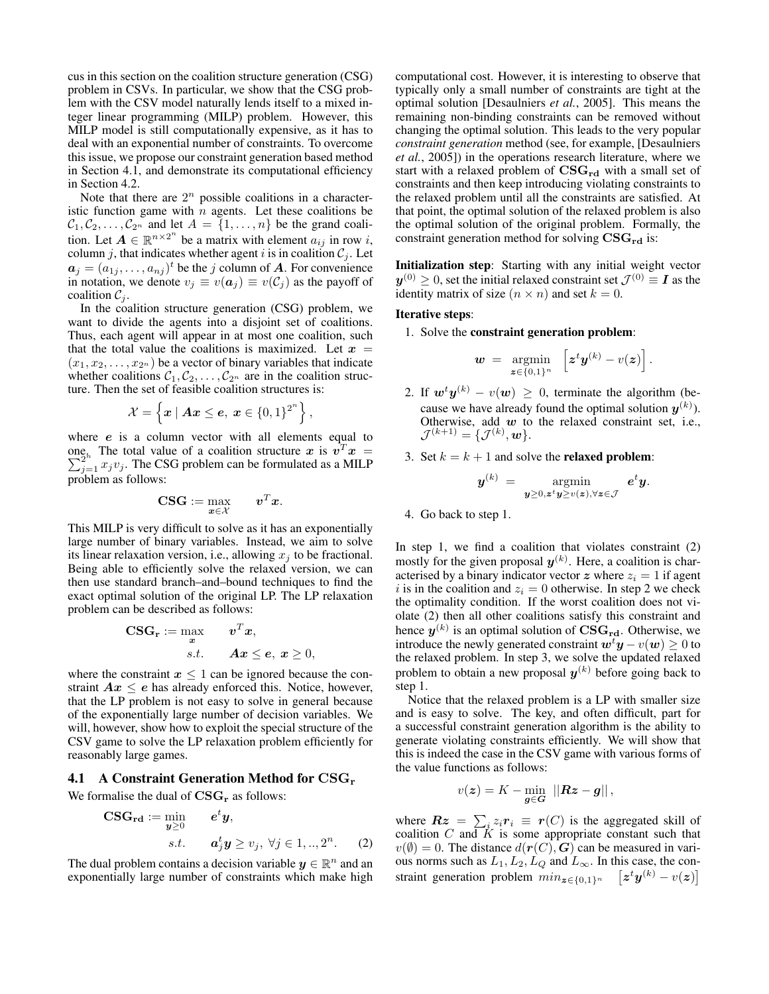cus in this section on the coalition structure generation (CSG) problem in CSVs. In particular, we show that the CSG problem with the CSV model naturally lends itself to a mixed integer linear programming (MILP) problem. However, this MILP model is still computationally expensive, as it has to deal with an exponential number of constraints. To overcome this issue, we propose our constraint generation based method in Section 4.1, and demonstrate its computational efficiency in Section 4.2.

Note that there are  $2^n$  possible coalitions in a characteristic function game with  $n$  agents. Let these coalitions be  $C_1, C_2, \ldots, C_{2^n}$  and let  $A = \{1, \ldots, n\}$  be the grand coalition. Let  $A \in \mathbb{R}^{n \times 2^n}$  be a matrix with element  $a_{ij}$  in row i, column j, that indicates whether agent i is in coalition  $C_i$ . Let  $a_j = (a_{1j}, \dots, a_{nj})^t$  be the j column of A. For convenience in notation, we denote  $v_j \equiv v(a_j) \equiv v(C_j)$  as the payoff of coalition  $C_j$ .

In the coalition structure generation (CSG) problem, we want to divide the agents into a disjoint set of coalitions. Thus, each agent will appear in at most one coalition, such that the total value the coalitions is maximized. Let  $x =$  $(x_1, x_2, \ldots, x_{2^n})$  be a vector of binary variables that indicate whether coalitions  $C_1, C_2, \ldots, C_{2^n}$  are in the coalition structure. Then the set of feasible coalition structures is:

$$
\mathcal{X} = \left\{\boldsymbol{x} \mid \boldsymbol{A}\boldsymbol{x} \leq \boldsymbol{e}, \ \boldsymbol{x} \in \{0,1\}^{2^n}\right\},
$$

where  $e$  is a column vector with all elements equal to one<sub>th</sub> The total value of a coalition structure x is  $v<sup>T</sup>$ one, The total value of a coalition structure x is  $v^T x = \sum_{j=1}^{2^n} x_j v_j$ . The CSG problem can be formulated as a MILP problem as follows:

$$
\textbf{CSG}:=\max_{\bm{x}\in\mathcal{X}}\qquad \bm{v}^T\bm{x}.
$$

This MILP is very difficult to solve as it has an exponentially large number of binary variables. Instead, we aim to solve its linear relaxation version, i.e., allowing  $x_i$  to be fractional. Being able to efficiently solve the relaxed version, we can then use standard branch–and–bound techniques to find the exact optimal solution of the original LP. The LP relaxation problem can be described as follows:

$$
\begin{aligned} \mathbf{CSG}_{\mathbf{r}} &:= \max_{\mathbf{x}} \qquad \mathbf{v}^T \mathbf{x}, \\ s.t. \qquad \mathbf{Ax} \leq \mathbf{e}, \ \mathbf{x} \geq 0, \end{aligned}
$$

where the constraint  $x \leq 1$  can be ignored because the constraint  $Ax \leq e$  has already enforced this. Notice, however, that the LP problem is not easy to solve in general because of the exponentially large number of decision variables. We will, however, show how to exploit the special structure of the CSV game to solve the LP relaxation problem efficiently for reasonably large games.

## 4.1 A Constraint Generation Method for  $\mathrm{CSG}_r$

We formalise the dual of  $\mathbf{CSG}_r$  as follows:

$$
\begin{aligned}\n\mathbf{CSG}_{\mathbf{rd}} &:= \min_{\mathbf{y} \ge 0} & e^t \mathbf{y}, \\
& s.t. & \mathbf{a}_j^t \mathbf{y} \ge v_j, \ \forall j \in 1, \dots, 2^n. \end{aligned} \tag{2}
$$

The dual problem contains a decision variable  $y \in \mathbb{R}^n$  and an exponentially large number of constraints which make high computational cost. However, it is interesting to observe that typically only a small number of constraints are tight at the optimal solution [Desaulniers *et al.*, 2005]. This means the remaining non-binding constraints can be removed without changing the optimal solution. This leads to the very popular *constraint generation* method (see, for example, [Desaulniers *et al.*, 2005]) in the operations research literature, where we start with a relaxed problem of  $CSG_{rd}$  with a small set of constraints and then keep introducing violating constraints to the relaxed problem until all the constraints are satisfied. At that point, the optimal solution of the relaxed problem is also the optimal solution of the original problem. Formally, the constraint generation method for solving  $\mathrm{CSG}_{\mathrm{rd}}$  is:

Initialization step: Starting with any initial weight vector  $\boldsymbol{y}^{(0)}\geq 0,$  set the initial relaxed constraint set  $\mathcal{J}^{(0)}\equiv\boldsymbol{I}$  as the identity matrix of size  $(n \times n)$  and set  $k = 0$ .

#### Iterative steps:

1. Solve the constraint generation problem:

$$
\boldsymbol{w}~=~\operatornamewithlimits{argmin}_{\boldsymbol{z} \in \{0,1\}^n}~~\left[\boldsymbol{z}^t \boldsymbol{y}^{(k)} - v(\boldsymbol{z})\right].
$$

- 2. If  $w^t w^{(k)} v(w) \geq 0$ , terminate the algorithm (because we have already found the optimal solution  $y^{(k)}$ ). Otherwise, add  $w$  to the relaxed constraint set, i.e.,  $\mathcal{J}^{(k+1)}=\{\mathcal{J}^{(k)},\bm{w}\}.$
- 3. Set  $k = k + 1$  and solve the **relaxed problem**:

$$
\bm{y}^{(k)}\ =\ \ \operatornamewithlimits{argmin}\limits_{\bm{y}\geq 0, \bm{z}^t\bm{y}\geq v(\bm{z}), \forall \bm{z}\in\mathcal{J}}\ \ \bm{e}^t\bm{y}.
$$

4. Go back to step 1.

In step 1, we find a coalition that violates constraint  $(2)$ mostly for the given proposal  $y^{(k)}$ . Here, a coalition is characterised by a binary indicator vector z where  $z_i = 1$  if agent i is in the coalition and  $z_i = 0$  otherwise. In step 2 we check the optimality condition. If the worst coalition does not violate (2) then all other coalitions satisfy this constraint and hence  $y^{(k)}$  is an optimal solution of  $\mathbf{CSG_{rd}}$ . Otherwise, we introduce the newly generated constraint  $w^t y - v(w) \geq 0$  to the relaxed problem. In step 3, we solve the updated relaxed problem to obtain a new proposal  $y^{(k)}$  before going back to step 1.

Notice that the relaxed problem is a LP with smaller size and is easy to solve. The key, and often difficult, part for a successful constraint generation algorithm is the ability to generate violating constraints efficiently. We will show that this is indeed the case in the CSV game with various forms of the value functions as follows:

$$
v(z) = K - \min_{g \in G} \|\mathbf{R}z - g\|,
$$

where  $Rz = \sum_{i} z_i r_i \equiv r(C)$  is the aggregated skill of coalition  $C$  and  $K$  is some appropriate constant such that  $v(\emptyset) = 0$ . The distance  $d(\mathbf{r}(C), \mathbf{G})$  can be measured in various norms such as  $L_1, L_2, L_Q$  and  $L_{\infty}$ . In this case, the constraint generation problem  $min_{\mathbf{z} \in \{0,1\}^n}$   $[\mathbf{z}^t \mathbf{y}^{(k)} - v(\mathbf{z})]$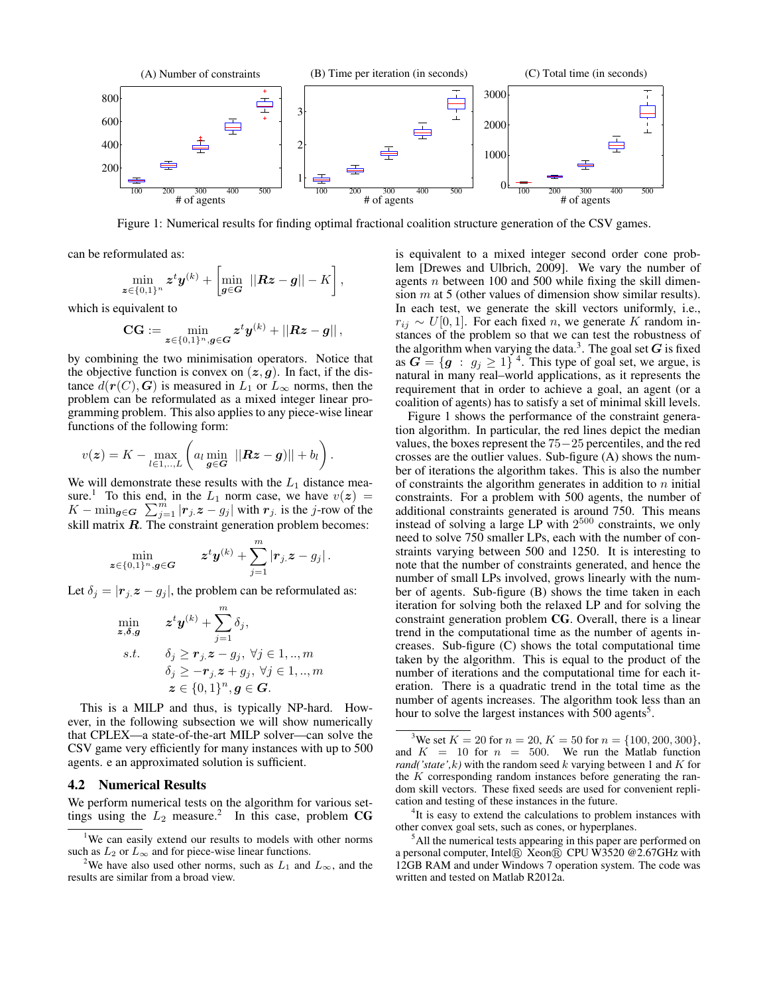

Figure 1: Numerical results for finding optimal fractional coalition structure generation of the CSV games.

can be reformulated as:

$$
\min_{\boldsymbol{z}\in\{0,1\}^n} \boldsymbol{z}^t \boldsymbol{y}^{(k)} + \left[\min_{\boldsymbol{g}\in\boldsymbol{G}} \|\boldsymbol{R}\boldsymbol{z}-\boldsymbol{g}\| - K\right],
$$

which is equivalent to

$$
\textbf{CG} := \min_{\boldsymbol{z} \in \{0,1\}^n, \boldsymbol{g} \in \boldsymbol{G}} \boldsymbol{z}^t \boldsymbol{y}^{(k)} + ||\boldsymbol{R}\boldsymbol{z} - \boldsymbol{g}||\,,
$$

by combining the two minimisation operators. Notice that the objective function is convex on  $(z, g)$ . In fact, if the distance  $d(\mathbf{r}(C), \mathbf{G})$  is measured in  $L_1$  or  $L_{\infty}$  norms, then the problem can be reformulated as a mixed integer linear programming problem. This also applies to any piece-wise linear functions of the following form:

$$
v(\boldsymbol{z}) = K - \max_{l \in 1, \dots, L} \left( a_l \min_{\boldsymbol{g} \in \boldsymbol{G}} \|\boldsymbol{R}\boldsymbol{z} - \boldsymbol{g})\| + b_l \right).
$$

We will demonstrate these results with the  $L_1$  distance measure.<sup>1</sup> To this end, in the  $L_1$  norm case, we have  $v(z) =$  $K - \min_{g \in \mathbf{G}} \sum_{j=1}^{m} |\mathbf{r}_j \mathbf{z} - g_j|$  with  $\mathbf{r}_j$  is the j-row of the skill matrix  $R$ . The constraint generation problem becomes:

$$
\min_{\bm{z}\in\{0,1\}^n,\bm{g}\in\bm{G}}\qquad \bm{z}^t\bm{y}^{(k)}+\sum_{j=1}^m|\bm{r}_j.\bm{z}-g_j|\,.
$$

Let  $\delta_j = |\mathbf{r}_j \mathbf{z} - g_j|$ , the problem can be reformulated as:

$$
\min_{\mathbf{z}, \delta, \mathbf{g}} \qquad \mathbf{z}^t \mathbf{y}^{(k)} + \sum_{j=1}^m \delta_j,
$$
\n
$$
s.t. \qquad \delta_j \ge \mathbf{r}_j \mathbf{z} - g_j, \ \forall j \in 1, ..., m
$$
\n
$$
\delta_j \ge -\mathbf{r}_j \mathbf{z} + g_j, \ \forall j \in 1, ..., m
$$
\n
$$
\mathbf{z} \in \{0, 1\}^n, \mathbf{g} \in \mathbf{G}.
$$

This is a MILP and thus, is typically NP-hard. However, in the following subsection we will show numerically that CPLEX—a state-of-the-art MILP solver—can solve the CSV game very efficiently for many instances with up to 500 agents. e an approximated solution is sufficient.

#### 4.2 Numerical Results

We perform numerical tests on the algorithm for various settings using the  $L_2$  measure.<sup>2</sup> In this case, problem CG

is equivalent to a mixed integer second order cone problem [Drewes and Ulbrich, 2009]. We vary the number of agents  $n$  between 100 and 500 while fixing the skill dimension  $m$  at 5 (other values of dimension show similar results). In each test, we generate the skill vectors uniformly, i.e.,  $r_{ij} \sim U[0, 1]$ . For each fixed *n*, we generate K random instances of the problem so that we can test the robustness of the algorithm when varying the data.<sup>3</sup>. The goal set  $G$  is fixed as  $G = \{g : g_j \ge 1\}$ <sup>4</sup>. This type of goal set, we argue, is natural in many real–world applications, as it represents the requirement that in order to achieve a goal, an agent (or a coalition of agents) has to satisfy a set of minimal skill levels.

Figure 1 shows the performance of the constraint generation algorithm. In particular, the red lines depict the median values, the boxes represent the 75−25 percentiles, and the red crosses are the outlier values. Sub-figure (A) shows the number of iterations the algorithm takes. This is also the number of constraints the algorithm generates in addition to  $n$  initial constraints. For a problem with 500 agents, the number of additional constraints generated is around 750. This means instead of solving a large LP with  $2^{500}$  constraints, we only need to solve 750 smaller LPs, each with the number of constraints varying between 500 and 1250. It is interesting to note that the number of constraints generated, and hence the number of small LPs involved, grows linearly with the number of agents. Sub-figure (B) shows the time taken in each iteration for solving both the relaxed LP and for solving the constraint generation problem CG. Overall, there is a linear trend in the computational time as the number of agents increases. Sub-figure (C) shows the total computational time taken by the algorithm. This is equal to the product of the number of iterations and the computational time for each iteration. There is a quadratic trend in the total time as the number of agents increases. The algorithm took less than an hour to solve the largest instances with 500 agents<sup>5</sup>.

<sup>4</sup>It is easy to extend the calculations to problem instances with other convex goal sets, such as cones, or hyperplanes.

<sup>5</sup>All the numerical tests appearing in this paper are performed on a personal computer, Intel $\circledR$  Xeon $\circledR$  CPU W3520 @2.67GHz with 12GB RAM and under Windows 7 operation system. The code was written and tested on Matlab R2012a.

<sup>&</sup>lt;sup>1</sup>We can easily extend our results to models with other norms such as  $L_2$  or  $L_{\infty}$  and for piece-wise linear functions.

<sup>&</sup>lt;sup>2</sup>We have also used other norms, such as  $L_1$  and  $L_{\infty}$ , and the results are similar from a broad view.

<sup>&</sup>lt;sup>3</sup>We set  $K = 20$  for  $n = 20$ ,  $K = 50$  for  $n = \{100, 200, 300\}$ , and  $K = 10$  for  $n = 500$ . We run the Matlab function *rand('state',k)* with the random seed  $k$  varying between 1 and  $K$  for the  $K$  corresponding random instances before generating the random skill vectors. These fixed seeds are used for convenient replication and testing of these instances in the future.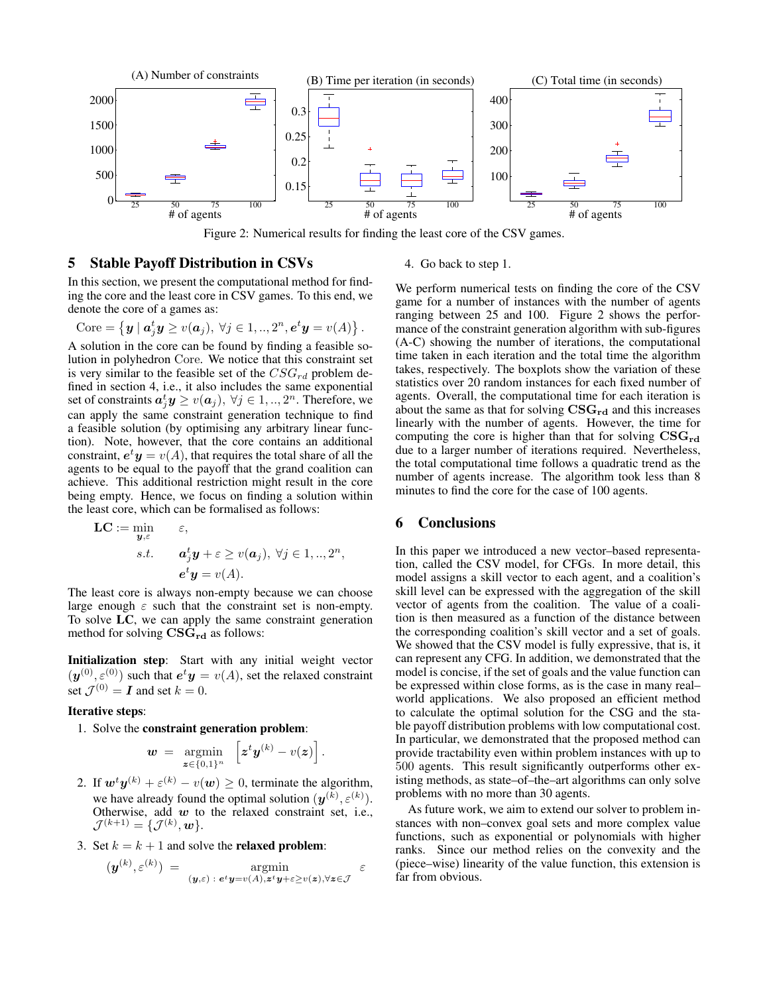

Figure 2: Numerical results for finding the least core of the CSV games.

### 5 Stable Payoff Distribution in CSVs

In this section, we present the computational method for finding the core and the least core in CSV games. To this end, we denote the core of a games as:

$$
Core = \left\{ \boldsymbol{y} \mid \boldsymbol{a}_j^t \boldsymbol{y} \geq v(\boldsymbol{a}_j), \ \forall j \in 1, ..., 2^n, \boldsymbol{e}^t \boldsymbol{y} = v(A) \right\}.
$$

A solution in the core can be found by finding a feasible solution in polyhedron Core. We notice that this constraint set is very similar to the feasible set of the  $CSG_{rd}$  problem defined in section 4, i.e., it also includes the same exponential set of constraints  $a_j^t\mathcal{y} \geq v(\boldsymbol{a}_j), \ \forall j \in 1,..,2^n.$  Therefore, we can apply the same constraint generation technique to find a feasible solution (by optimising any arbitrary linear function). Note, however, that the core contains an additional constraint,  $e^t\boldsymbol{y}=v(A)$ , that requires the total share of all the agents to be equal to the payoff that the grand coalition can achieve. This additional restriction might result in the core being empty. Hence, we focus on finding a solution within the least core, which can be formalised as follows:

$$
\begin{aligned}\n\mathbf{LC} &:= \min_{\mathbf{y}, \varepsilon} & \varepsilon, \\
\text{s.t.} & \mathbf{a}_j^t \mathbf{y} + \varepsilon \ge v(\mathbf{a}_j), \ \forall j \in 1, \dots, 2^n, \\
& \mathbf{e}^t \mathbf{y} = v(A).\n\end{aligned}
$$

The least core is always non-empty because we can choose large enough  $\varepsilon$  such that the constraint set is non-empty. To solve LC, we can apply the same constraint generation method for solving  $\mathbf{CSG}_{\mathrm{rd}}$  as follows:

Initialization step: Start with any initial weight vector  $(\mathbf{y}^{(0)}, \varepsilon^{(0)})$  such that  $e^t \mathbf{y} = v(A)$ , set the relaxed constraint set  $\mathcal{J}^{(0)} = \mathbf{I}$  and set  $k = 0$ .

### Iterative steps:

1. Solve the constraint generation problem:

$$
\boldsymbol{w} = \operatorname*{argmin}_{\boldsymbol{z} \in \{0,1\}^n} \hspace{2mm} \left[ \boldsymbol{z}^t \boldsymbol{y}^{(k)} - v(\boldsymbol{z}) \right]
$$

.

- 2. If  $w^t y^{(k)} + \varepsilon^{(k)} v(w) \ge 0$ , terminate the algorithm, we have already found the optimal solution  $(y^{(k)}, \varepsilon^{(k)})$ . Otherwise, add  $w$  to the relaxed constraint set, i.e.,  $\mathcal{J}^{(k+1)}=\{\mathcal{J}^{(k)},\bm{w}\}.$
- 3. Set  $k = k + 1$  and solve the **relaxed problem**:

$$
(\boldsymbol{y}^{(k)}, \varepsilon^{(k)}) \; = \; \operatornamewithlimits{argmin}_{(\boldsymbol{y}, \varepsilon)\; : \; \boldsymbol{e}^t \boldsymbol{y} = v(A), \boldsymbol{z}^t \boldsymbol{y} + \varepsilon \geq v(\boldsymbol{z}), \forall \boldsymbol{z} \in \mathcal{J}} \; \; \varepsilon
$$

#### 4. Go back to step 1.

We perform numerical tests on finding the core of the CSV game for a number of instances with the number of agents ranging between 25 and 100. Figure 2 shows the performance of the constraint generation algorithm with sub-figures (A-C) showing the number of iterations, the computational time taken in each iteration and the total time the algorithm takes, respectively. The boxplots show the variation of these statistics over 20 random instances for each fixed number of agents. Overall, the computational time for each iteration is about the same as that for solving  $\mathbf{CSG_{rd}}$  and this increases linearly with the number of agents. However, the time for computing the core is higher than that for solving  $CSG_{rd}$ due to a larger number of iterations required. Nevertheless, the total computational time follows a quadratic trend as the number of agents increase. The algorithm took less than 8 minutes to find the core for the case of 100 agents.

## 6 Conclusions

In this paper we introduced a new vector–based representation, called the CSV model, for CFGs. In more detail, this model assigns a skill vector to each agent, and a coalition's skill level can be expressed with the aggregation of the skill vector of agents from the coalition. The value of a coalition is then measured as a function of the distance between the corresponding coalition's skill vector and a set of goals. We showed that the CSV model is fully expressive, that is, it can represent any CFG. In addition, we demonstrated that the model is concise, if the set of goals and the value function can be expressed within close forms, as is the case in many real– world applications. We also proposed an efficient method to calculate the optimal solution for the CSG and the stable payoff distribution problems with low computational cost. In particular, we demonstrated that the proposed method can provide tractability even within problem instances with up to 500 agents. This result significantly outperforms other existing methods, as state–of–the–art algorithms can only solve problems with no more than 30 agents.

As future work, we aim to extend our solver to problem instances with non–convex goal sets and more complex value functions, such as exponential or polynomials with higher ranks. Since our method relies on the convexity and the (piece–wise) linearity of the value function, this extension is far from obvious.